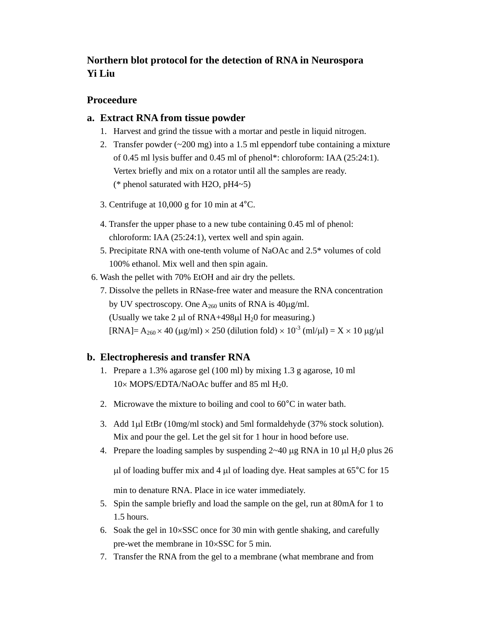# **Northern blot protocol for the detection of RNA in Neurospora Yi Liu**

## **Proceedure**

### **a. Extract RNA from tissue powder**

- 1. Harvest and grind the tissue with a mortar and pestle in liquid nitrogen.
- 2. Transfer powder  $(\sim 200 \text{ mg})$  into a 1.5 ml eppendorf tube containing a mixture of 0.45 ml lysis buffer and 0.45 ml of phenol\*: chloroform: IAA (25:24:1). Vertex briefly and mix on a rotator until all the samples are ready. (\* phenol saturated with H2O, pH4~5)
- 3. Centrifuge at 10,000 g for 10 min at 4°C.
- 4. Transfer the upper phase to a new tube containing 0.45 ml of phenol: chloroform: IAA (25:24:1), vertex well and spin again.
- 5. Precipitate RNA with one-tenth volume of NaOAc and 2.5\* volumes of cold 100% ethanol. Mix well and then spin again.
- 6. Wash the pellet with 70% EtOH and air dry the pellets.
	- 7. Dissolve the pellets in RNase-free water and measure the RNA concentration by UV spectroscopy. One  $A_{260}$  units of RNA is 40µg/ml. (Usually we take 2 µl of RNA+498µl  $H<sub>2</sub>0$  for measuring.)

 $[RNA] = A_{260} \times 40 \ (\mu\text{g/ml}) \times 250 \ (\text{dilution fold}) \times 10^{-3} \ (\text{ml/}\mu\text{l}) = X \times 10 \ \mu\text{g/}\mu\text{l}$ 

# **b. Electropheresis and transfer RNA**

- 1. Prepare a 1.3% agarose gel (100 ml) by mixing 1.3 g agarose, 10 ml 10× MOPS/EDTA/NaOAc buffer and 85 ml H<sub>2</sub>0.
- 2. Microwave the mixture to boiling and cool to 60°C in water bath.
- 3. Add 1µl EtBr (10mg/ml stock) and 5ml formaldehyde (37% stock solution). Mix and pour the gel. Let the gel sit for 1 hour in hood before use.
- 4. Prepare the loading samples by suspending  $2 \times 40 \mu$ g RNA in 10  $\mu$ l H<sub>2</sub>0 plus 26

 $\mu$ l of loading buffer mix and 4  $\mu$ l of loading dye. Heat samples at 65 $\degree$ C for 15

min to denature RNA. Place in ice water immediately.

- 5. Spin the sample briefly and load the sample on the gel, run at 80mA for 1 to 1.5 hours.
- 6. Soak the gel in 10×SSC once for 30 min with gentle shaking, and carefully pre-wet the membrane in 10×SSC for 5 min.
- 7. Transfer the RNA from the gel to a membrane (what membrane and from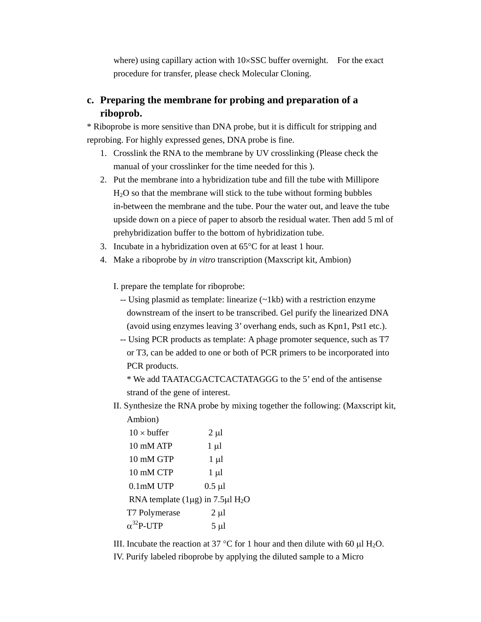where) using capillary action with 10×SSC buffer overnight. For the exact procedure for transfer, please check Molecular Cloning.

# **c. Preparing the membrane for probing and preparation of a riboprob.**

\* Riboprobe is more sensitive than DNA probe, but it is difficult for stripping and reprobing. For highly expressed genes, DNA probe is fine.

- 1. Crosslink the RNA to the membrane by UV crosslinking (Please check the manual of your crosslinker for the time needed for this ).
- 2. Put the membrane into a hybridization tube and fill the tube with Millipore H2O so that the membrane will stick to the tube without forming bubbles in-between the membrane and the tube. Pour the water out, and leave the tube upside down on a piece of paper to absorb the residual water. Then add 5 ml of prehybridization buffer to the bottom of hybridization tube.
- 3. Incubate in a hybridization oven at 65°C for at least 1 hour.
- 4. Make a riboprobe by *in vitro* transcription (Maxscript kit, Ambion)
	- I. prepare the template for riboprobe:
		- -- Using plasmid as template: linearize (~1kb) with a restriction enzyme downstream of the insert to be transcribed. Gel purify the linearized DNA (avoid using enzymes leaving 3' overhang ends, such as Kpn1, Pst1 etc.).
		- -- Using PCR products as template: A phage promoter sequence, such as T7 or T3, can be added to one or both of PCR primers to be incorporated into PCR products.

\* We add TAATACGACTCACTATAGGG to the 5' end of the antisense strand of the gene of interest.

II. Synthesize the RNA probe by mixing together the following: (Maxscript kit, Ambion)

| $10 \times \text{buffer}$                               | $2 \mu l$   |
|---------------------------------------------------------|-------------|
| 10 mM ATP                                               | $1 \mu l$   |
| 10 mM GTP                                               | $1 \mu l$   |
| $10 \text{ mM CTP}$                                     | $1 \mu l$   |
| 0.1mM UTP                                               | $0.5 \mu l$ |
| RNA template $(1\mu g)$ in 7.5 $\mu$ l H <sub>2</sub> O |             |
| T7 Polymerase                                           | $2 \mu l$   |
| $\alpha^{32}$ P-UTP                                     | 5 µl        |

III. Incubate the reaction at 37 °C for 1 hour and then dilute with 60  $\mu$ l H<sub>2</sub>O.

IV. Purify labeled riboprobe by applying the diluted sample to a Micro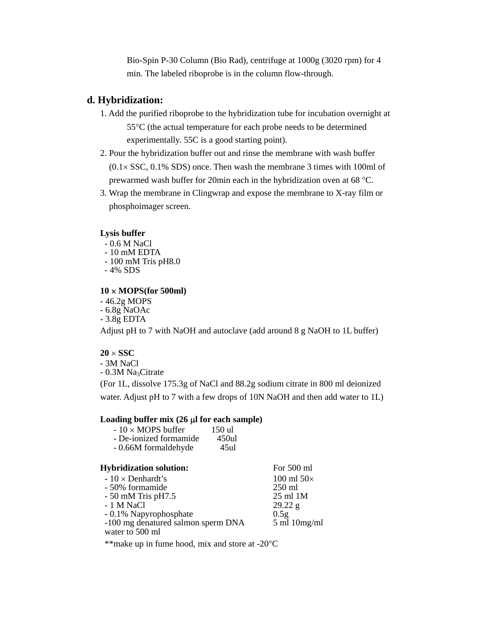Bio-Spin P-30 Column (Bio Rad), centrifuge at 1000g (3020 rpm) for 4 min. The labeled riboprobe is in the column flow-through.

## **d. Hybridization:**

- 1. Add the purified riboprobe to the hybridization tube for incubation overnight at 55°C (the actual temperature for each probe needs to be determined experimentally. 55C is a good starting point).
- 2. Pour the hybridization buffer out and rinse the membrane with wash buffer  $(0.1 \times SSC, 0.1\% SDS)$  once. Then wash the membrane 3 times with 100ml of prewarmed wash buffer for 20min each in the hybridization oven at 68 °C.
- 3. Wrap the membrane in Clingwrap and expose the membrane to X-ray film or phosphoimager screen.

#### **Lysis buffer**

- 0.6 M NaCl - 10 mM EDTA - 100 mM Tris pH8.0
- 4% SDS

#### **10** × **MOPS(for 500ml)**

 - 46.2g MOPS - 6.8g NaOAc - 3.8g EDTA

Adjust pH to 7 with NaOH and autoclave (add around 8 g NaOH to 1L buffer)

### $20 \times$ **SSC**

- 3M NaCl  $-0.3M$  Na<sub>3</sub>Citrate (For 1L, dissolve 175.3g of NaCl and 88.2g sodium citrate in 800 ml deionized water. Adjust pH to 7 with a few drops of 10N NaOH and then add water to 1L)

#### Loading buffer mix (26  $\mu$ **l** for each sample)

| $-10 \times MOPS$ buffer | 150 ul |
|--------------------------|--------|
| - De-ionized formamide   | 450ul  |
| - 0.66M formaldehyde     | 45ul   |

| <b>Hybridization solution:</b>                        | For 500 ml                      |
|-------------------------------------------------------|---------------------------------|
| $-10 \times Denhardt's$                               | 100 ml $50\times$               |
| - 50% formamide                                       | $250$ ml                        |
| $-50$ mM Tris pH7.5                                   | 25 ml 1M                        |
| - 1 M NaCl                                            | 29.22 g                         |
| - 0.1% Napyrophosphate                                | 0.5g                            |
| -100 mg denatured salmon sperm DNA<br>water to 500 ml | $5 \text{ ml} 10 \text{ mg/ml}$ |
|                                                       |                                 |

\*\*make up in fume hood, mix and store at -20°C